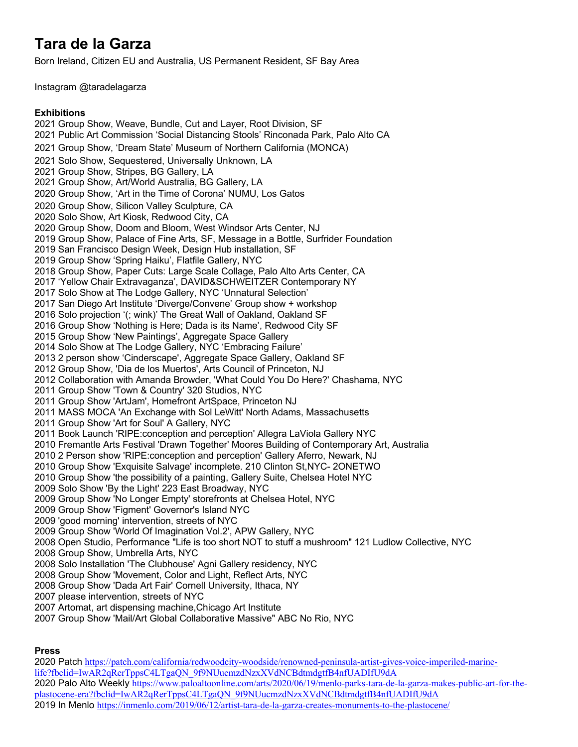# **Tara de la Garza**

Born Ireland, Citizen EU and Australia, US Permanent Resident, SF Bay Area

Instagram @taradelagarza

#### **Exhibitions**

2021 Group Show, Weave, Bundle, Cut and Layer, Root Division, SF 2021 Public Art Commission 'Social Distancing Stools' Rinconada Park, Palo Alto CA 2021 Group Show, 'Dream State' Museum of Northern California (MONCA) 2021 Solo Show, Sequestered, Universally Unknown, LA 2021 Group Show, Stripes, BG Gallery, LA 2021 Group Show, Art/World Australia, BG Gallery, LA 2020 Group Show, 'Art in the Time of Corona' NUMU, Los Gatos 2020 Group Show, Silicon Valley Sculpture, CA 2020 Solo Show, Art Kiosk, Redwood City, CA 2020 Group Show, Doom and Bloom, West Windsor Arts Center, NJ 2019 Group Show, Palace of Fine Arts, SF, Message in a Bottle, Surfrider Foundation 2019 San Francisco Design Week, Design Hub installation, SF 2019 Group Show 'Spring Haiku', Flatfile Gallery, NYC 2018 Group Show, Paper Cuts: Large Scale Collage, Palo Alto Arts Center, CA 2017 'Yellow Chair Extravaganza', DAVID&SCHWEITZER Contemporary NY 2017 Solo Show at The Lodge Gallery, NYC 'Unnatural Selection' 2017 San Diego Art Institute 'Diverge/Convene' Group show + workshop 2016 Solo projection '(; wink)' The Great Wall of Oakland, Oakland SF 2016 Group Show 'Nothing is Here; Dada is its Name', Redwood City SF 2015 Group Show 'New Paintings', Aggregate Space Gallery 2014 Solo Show at The Lodge Gallery, NYC 'Embracing Failure' 2013 2 person show 'Cinderscape', Aggregate Space Gallery, Oakland SF 2012 Group Show, 'Dia de los Muertos', Arts Council of Princeton, NJ 2012 Collaboration with Amanda Browder, 'What Could You Do Here?' Chashama, NYC 2011 Group Show 'Town & Country' 320 Studios, NYC 2011 Group Show 'ArtJam', Homefront ArtSpace, Princeton NJ 2011 MASS MOCA 'An Exchange with Sol LeWitt' North Adams, Massachusetts 2011 Group Show 'Art for Soul' A Gallery, NYC 2011 Book Launch 'RIPE:conception and perception' Allegra LaViola Gallery NYC 2010 Fremantle Arts Festival 'Drawn Together' Moores Building of Contemporary Art, Australia 2010 2 Person show 'RIPE:conception and perception' Gallery Aferro, Newark, NJ 2010 Group Show 'Exquisite Salvage' incomplete. 210 Clinton St,NYC- 2ONETWO 2010 Group Show 'the possibility of a painting, Gallery Suite, Chelsea Hotel NYC 2009 Solo Show 'By the Light' 223 East Broadway, NYC 2009 Group Show 'No Longer Empty' storefronts at Chelsea Hotel, NYC 2009 Group Show 'Figment' Governor's Island NYC 2009 'good morning' intervention, streets of NYC 2009 Group Show 'World Of Imagination Vol.2', APW Gallery, NYC 2008 Open Studio, Performance "Life is too short NOT to stuff a mushroom" 121 Ludlow Collective, NYC 2008 Group Show, Umbrella Arts, NYC 2008 Solo Installation 'The Clubhouse' Agni Gallery residency, NYC 2008 Group Show 'Movement, Color and Light, Reflect Arts, NYC 2008 Group Show 'Dada Art Fair' Cornell University, Ithaca, NY 2007 please intervention, streets of NYC 2007 Artomat, art dispensing machine,Chicago Art Institute

2007 Group Show 'Mail/Art Global Collaborative Massive" ABC No Rio, NYC

# **Press**

2020 Patch https://patch.com/california/redwoodcity-woodside/renowned-peninsula-artist-gives-voice-imperiled-marinelife?fbclid=IwAR2qRerTppsC4LTgaQN\_9f9NUucmzdNzxXVdNCBdtmdgtfB4nfUADIfU9dA 2020 Palo Alto Weekly https://www.paloaltoonline.com/arts/2020/06/19/menlo-parks-tara-de-la-garza-makes-public-art-for-theplastocene-era?fbclid=IwAR2qRerTppsC4LTgaQN\_9f9NUucmzdNzxXVdNCBdtmdgtfB4nfUADIfU9dA 2019 In Menlo https://inmenlo.com/2019/06/12/artist-tara-de-la-garza-creates-monuments-to-the-plastocene/